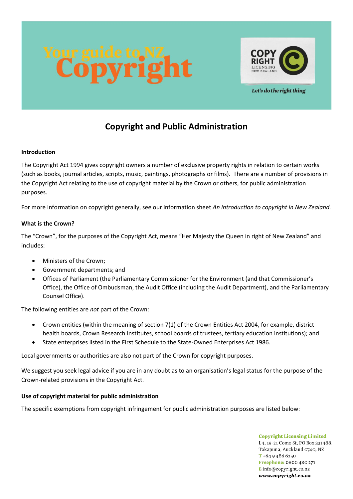



Let's do the right thing

# **Copyright and Public Administration**

# **Introduction**

The Copyright Act 1994 gives copyright owners a number of exclusive property rights in relation to certain works (such as books, journal articles, scripts, music, paintings, photographs or films). There are a number of provisions in the Copyright Act relating to the use of copyright material by the Crown or others, for public administration purposes.

For more information on copyright generally, see our information sheet *An introduction to copyright in New Zealand.*

# **What is the Crown?**

The "Crown", for the purposes of the Copyright Act, means "Her Majesty the Queen in right of New Zealand" and includes:

- Ministers of the Crown;
- Government departments; and
- Offices of Parliament (the Parliamentary Commissioner for the Environment (and that Commissioner's Office), the Office of Ombudsman, the Audit Office (including the Audit Department), and the Parliamentary Counsel Office).

The following entities are *not* part of the Crown:

- Crown entities (within the meaning of section 7(1) of the Crown Entities Act 2004, for example, district health boards, Crown Research Institutes, school boards of trustees, tertiary education institutions); and
- State enterprises listed in the First Schedule to the State-Owned Enterprises Act 1986.

Local governments or authorities are also not part of the Crown for copyright purposes.

We suggest you seek legal advice if you are in any doubt as to an organisation's legal status for the purpose of the Crown-related provisions in the Copyright Act.

# **Use of copyright material for public administration**

The specific exemptions from copyright infringement for public administration purposes are listed below:

**Copyright Licensing Limited** L4, 19-21 Como St, PO Box 331488. Takapuna, Auckland 0740, NZ  $T + 6494866250$ Freephone: 0800 480 271 Einfo@copyright.co.nz www.copyright.co.nz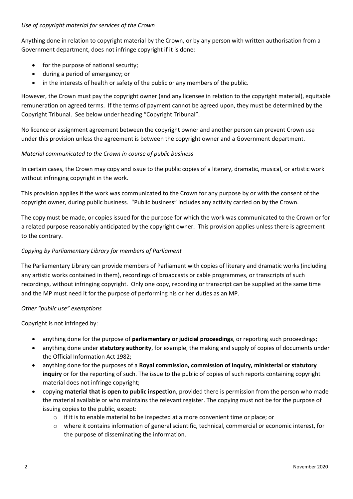# *Use of copyright material for services of the Crown*

Anything done in relation to copyright material by the Crown, or by any person with written authorisation from a Government department, does not infringe copyright if it is done:

- for the purpose of national security;
- during a period of emergency; or
- in the interests of health or safety of the public or any members of the public.

However, the Crown must pay the copyright owner (and any licensee in relation to the copyright material), equitable remuneration on agreed terms. If the terms of payment cannot be agreed upon, they must be determined by the Copyright Tribunal. See below under heading "Copyright Tribunal".

No licence or assignment agreement between the copyright owner and another person can prevent Crown use under this provision unless the agreement is between the copyright owner and a Government department.

## *Material communicated to the Crown in course of public business*

In certain cases, the Crown may copy and issue to the public copies of a literary, dramatic, musical, or artistic work without infringing copyright in the work.

This provision applies if the work was communicated to the Crown for any purpose by or with the consent of the copyright owner, during public business. "Public business" includes any activity carried on by the Crown.

The copy must be made, or copies issued for the purpose for which the work was communicated to the Crown or for a related purpose reasonably anticipated by the copyright owner. This provision applies unless there is agreement to the contrary.

# *Copying by Parliamentary Library for members of Parliament*

The Parliamentary Library can provide members of Parliament with copies of literary and dramatic works (including any artistic works contained in them), recordings of broadcasts or cable programmes, or transcripts of such recordings, without infringing copyright. Only one copy, recording or transcript can be supplied at the same time and the MP must need it for the purpose of performing his or her duties as an MP.

#### *Other "public use" exemptions*

Copyright is not infringed by:

- anything done for the purpose of **parliamentary or judicial proceedings**, or reporting such proceedings;
- anything done under **statutory authority**, for example, the making and supply of copies of documents under the Official Information Act 1982;
- anything done for the purposes of a **Royal commission, commission of inquiry, ministerial or statutory inquiry** or for the reporting of such. The issue to the public of copies of such reports containing copyright material does not infringe copyright;
- copying **material that is open to public inspection**, provided there is permission from the person who made the material available or who maintains the relevant register. The copying must not be for the purpose of issuing copies to the public, except:
	- o if it is to enable material to be inspected at a more convenient time or place; or
	- o where it contains information of general scientific, technical, commercial or economic interest, for the purpose of disseminating the information.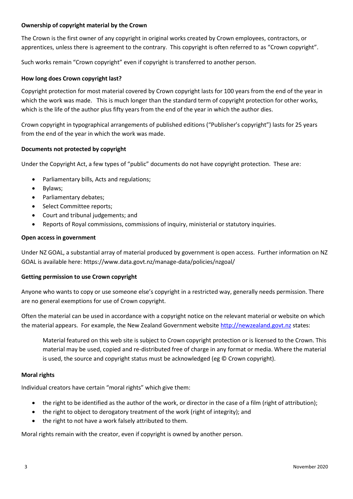## **Ownership of copyright material by the Crown**

The Crown is the first owner of any copyright in original works created by Crown employees, contractors, or apprentices, unless there is agreement to the contrary. This copyright is often referred to as "Crown copyright".

Such works remain "Crown copyright" even if copyright is transferred to another person.

#### **How long does Crown copyright last?**

Copyright protection for most material covered by Crown copyright lasts for 100 years from the end of the year in which the work was made. This is much longer than the standard term of copyright protection for other works, which is the life of the author plus fifty years from the end of the year in which the author dies.

Crown copyright in typographical arrangements of published editions ("Publisher's copyright") lasts for 25 years from the end of the year in which the work was made.

## **Documents not protected by copyright**

Under the Copyright Act, a few types of "public" documents do not have copyright protection. These are:

- Parliamentary bills, Acts and regulations;
- Bylaws;
- Parliamentary debates;
- Select Committee reports;
- Court and tribunal judgements; and
- Reports of Royal commissions, commissions of inquiry, ministerial or statutory inquiries.

#### **Open access in government**

Under NZ GOAL, a substantial array of material produced by government is open access. Further information on NZ GOAL is available here: https://www.data.govt.nz/manage-data/policies/nzgoal/

#### **Getting permission to use Crown copyright**

Anyone who wants to copy or use someone else's copyright in a restricted way, generally needs permission. There are no general exemptions for use of Crown copyright.

Often the material can be used in accordance with a copyright notice on the relevant material or website on which the material appears. For example, the New Zealand Government website [http://newzealand.govt.nz](http://newzealand.govt.nz/) states:

Material featured on this web site is subject to Crown copyright protection or is licensed to the Crown. This material may be used, copied and re-distributed free of charge in any format or media. Where the material is used, the source and copyright status must be acknowledged (eg © Crown copyright).

#### **Moral rights**

Individual creators have certain "moral rights" which give them:

- the right to be identified as the author of the work, or director in the case of a film (right of attribution);
- the right to object to derogatory treatment of the work (right of integrity); and
- the right to not have a work falsely attributed to them.

Moral rights remain with the creator, even if copyright is owned by another person.